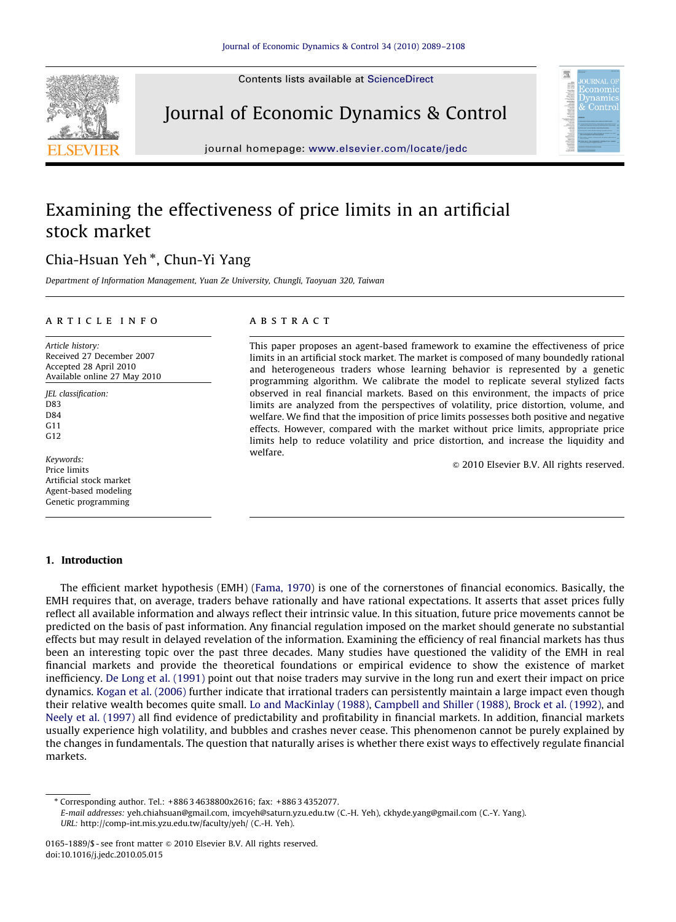Contents lists available at ScienceDirect



Journal of Economic Dynamics & Control



journal homepage: <www.elsevier.com/locate/jedc>

## Examining the effectiveness of price limits in an artificial stock market

### Chia-Hsuan Yeh<sup>\*</sup>, Chun-Yi Yang

Department of Information Management, Yuan Ze University, Chungli, Taoyuan 320, Taiwan

#### article info

Article history: Received 27 December 2007 Accepted 28 April 2010 Available online 27 May 2010

JEL classification: D83 D84 G11  $G12$ 

Keywords: Price limits Artificial stock market Agent-based modeling Genetic programming

#### 1. Introduction

### **ABSTRACT**

This paper proposes an agent-based framework to examine the effectiveness of price limits in an artificial stock market. The market is composed of many boundedly rational and heterogeneous traders whose learning behavior is represented by a genetic programming algorithm. We calibrate the model to replicate several stylized facts observed in real financial markets. Based on this environment, the impacts of price limits are analyzed from the perspectives of volatility, price distortion, volume, and welfare. We find that the imposition of price limits possesses both positive and negative effects. However, compared with the market without price limits, appropriate price limits help to reduce volatility and price distortion, and increase the liquidity and welfare.

 $\odot$  2010 Elsevier B.V. All rights reserved.

The efficient market hypothesis (EMH) ([Fama, 1970](#page--1-0)) is one of the cornerstones of financial economics. Basically, the EMH requires that, on average, traders behave rationally and have rational expectations. It asserts that asset prices fully reflect all available information and always reflect their intrinsic value. In this situation, future price movements cannot be predicted on the basis of past information. Any financial regulation imposed on the market should generate no substantial effects but may result in delayed revelation of the information. Examining the efficiency of real financial markets has thus been an interesting topic over the past three decades. Many studies have questioned the validity of the EMH in real financial markets and provide the theoretical foundations or empirical evidence to show the existence of market inefficiency. [De Long et al. \(1991\)](#page--1-0) point out that noise traders may survive in the long run and exert their impact on price dynamics. [Kogan et al. \(2006\)](#page--1-0) further indicate that irrational traders can persistently maintain a large impact even though their relative wealth becomes quite small. [Lo and MacKinlay \(1988\)](#page--1-0), [Campbell and Shiller \(1988\)](#page--1-0), [Brock et al. \(1992\)](#page--1-0), and [Neely et al. \(1997\)](#page--1-0) all find evidence of predictability and profitability in financial markets. In addition, financial markets usually experience high volatility, and bubbles and crashes never cease. This phenomenon cannot be purely explained by the changes in fundamentals. The question that naturally arises is whether there exist ways to effectively regulate financial markets.

- Corresponding author. Tel.: +886 3 4638800x2616; fax: +886 3 4352077.

E-mail addresses: [yeh.chiahsuan@gmail.com](mailto:yeh.chiahsuan@gmail.com), [imcyeh@saturn.yzu.edu.tw \(C.-H. Yeh\)](mailto:imcyeh@saturn.yzu.edu.tw), [ckhyde.yang@gmail.com \(C.-Y. Yang\).](mailto:ckhyde.yang@gmail.com) URL: [http://comp-int.mis.yzu.edu.tw/faculty/yeh/ \(C.-H. Yeh\).](mailto:http://comp-int.mis.yzu.edu.tw/faculty/yeh/a4.3d)

<sup>0165-1889/\$ -</sup> see front matter  $\odot$  2010 Elsevier B.V. All rights reserved. doi:[10.1016/j.jedc.2010.05.015](dx.doi.org/10.1016/j.jedc.2010.05.015)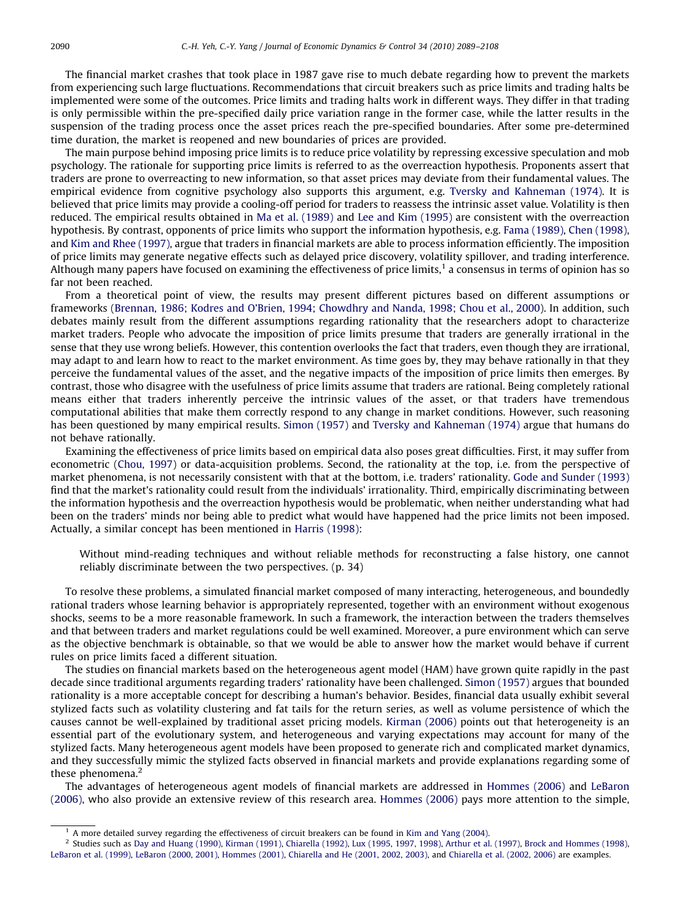The financial market crashes that took place in 1987 gave rise to much debate regarding how to prevent the markets from experiencing such large fluctuations. Recommendations that circuit breakers such as price limits and trading halts be implemented were some of the outcomes. Price limits and trading halts work in different ways. They differ in that trading is only permissible within the pre-specified daily price variation range in the former case, while the latter results in the suspension of the trading process once the asset prices reach the pre-specified boundaries. After some pre-determined time duration, the market is reopened and new boundaries of prices are provided.

The main purpose behind imposing price limits is to reduce price volatility by repressing excessive speculation and mob psychology. The rationale for supporting price limits is referred to as the overreaction hypothesis. Proponents assert that traders are prone to overreacting to new information, so that asset prices may deviate from their fundamental values. The empirical evidence from cognitive psychology also supports this argument, e.g. [Tversky and Kahneman \(1974\)](#page--1-0). It is believed that price limits may provide a cooling-off period for traders to reassess the intrinsic asset value. Volatility is then reduced. The empirical results obtained in [Ma et al. \(1989\)](#page--1-0) and [Lee and Kim \(1995\)](#page--1-0) are consistent with the overreaction hypothesis. By contrast, opponents of price limits who support the information hypothesis, e.g. [Fama \(1989\),](#page--1-0) [Chen \(1998\)](#page--1-0), and [Kim and Rhee \(1997\),](#page--1-0) argue that traders in financial markets are able to process information efficiently. The imposition of price limits may generate negative effects such as delayed price discovery, volatility spillover, and trading interference. Although many papers have focused on examining the effectiveness of price limits, $1$  a consensus in terms of opinion has so far not been reached.

From a theoretical point of view, the results may present different pictures based on different assumptions or frameworks [\(Brennan, 1986; Kodres and O'Brien, 1994; Chowdhry and Nanda, 1998; Chou et al., 2000](#page--1-0)). In addition, such debates mainly result from the different assumptions regarding rationality that the researchers adopt to characterize market traders. People who advocate the imposition of price limits presume that traders are generally irrational in the sense that they use wrong beliefs. However, this contention overlooks the fact that traders, even though they are irrational, may adapt to and learn how to react to the market environment. As time goes by, they may behave rationally in that they perceive the fundamental values of the asset, and the negative impacts of the imposition of price limits then emerges. By contrast, those who disagree with the usefulness of price limits assume that traders are rational. Being completely rational means either that traders inherently perceive the intrinsic values of the asset, or that traders have tremendous computational abilities that make them correctly respond to any change in market conditions. However, such reasoning has been questioned by many empirical results. [Simon \(1957\)](#page--1-0) and [Tversky and Kahneman \(1974\)](#page--1-0) argue that humans do not behave rationally.

Examining the effectiveness of price limits based on empirical data also poses great difficulties. First, it may suffer from econometric ([Chou, 1997](#page--1-0)) or data-acquisition problems. Second, the rationality at the top, i.e. from the perspective of market phenomena, is not necessarily consistent with that at the bottom, i.e. traders' rationality. [Gode and Sunder \(1993\)](#page--1-0) find that the market's rationality could result from the individuals' irrationality. Third, empirically discriminating between the information hypothesis and the overreaction hypothesis would be problematic, when neither understanding what had been on the traders' minds nor being able to predict what would have happened had the price limits not been imposed. Actually, a similar concept has been mentioned in [Harris \(1998\)](#page--1-0):

Without mind-reading techniques and without reliable methods for reconstructing a false history, one cannot reliably discriminate between the two perspectives. (p. 34)

To resolve these problems, a simulated financial market composed of many interacting, heterogeneous, and boundedly rational traders whose learning behavior is appropriately represented, together with an environment without exogenous shocks, seems to be a more reasonable framework. In such a framework, the interaction between the traders themselves and that between traders and market regulations could be well examined. Moreover, a pure environment which can serve as the objective benchmark is obtainable, so that we would be able to answer how the market would behave if current rules on price limits faced a different situation.

The studies on financial markets based on the heterogeneous agent model (HAM) have grown quite rapidly in the past decade since traditional arguments regarding traders' rationality have been challenged. [Simon \(1957\)](#page--1-0) argues that bounded rationality is a more acceptable concept for describing a human's behavior. Besides, financial data usually exhibit several stylized facts such as volatility clustering and fat tails for the return series, as well as volume persistence of which the causes cannot be well-explained by traditional asset pricing models. [Kirman \(2006\)](#page--1-0) points out that heterogeneity is an essential part of the evolutionary system, and heterogeneous and varying expectations may account for many of the stylized facts. Many heterogeneous agent models have been proposed to generate rich and complicated market dynamics, and they successfully mimic the stylized facts observed in financial markets and provide explanations regarding some of these phenomena.<sup>2</sup>

The advantages of heterogeneous agent models of financial markets are addressed in [Hommes \(2006\)](#page--1-0) and [LeBaron](#page--1-0) [\(2006\)](#page--1-0), who also provide an extensive review of this research area. [Hommes \(2006\)](#page--1-0) pays more attention to the simple,

<sup>1</sup> A more detailed survey regarding the effectiveness of circuit breakers can be found in [Kim and Yang \(2004\)](#page--1-0).

<sup>2</sup> Studies such as [Day and Huang \(1990\)](#page--1-0), [Kirman \(1991\),](#page--1-0) [Chiarella \(1992\)](#page--1-0), [Lux \(1995, 1997, 1998\)](#page--1-0), [Arthur et al. \(1997\)](#page--1-0), [Brock and Hommes \(1998\),](#page--1-0) [LeBaron et al. \(1999\)](#page--1-0), [LeBaron \(2000, 2001\)](#page--1-0), [Hommes \(2001\),](#page--1-0) [Chiarella and He \(2001, 2002, 2003\)](#page--1-0), and [Chiarella et al. \(2002, 2006\)](#page--1-0) are examples.